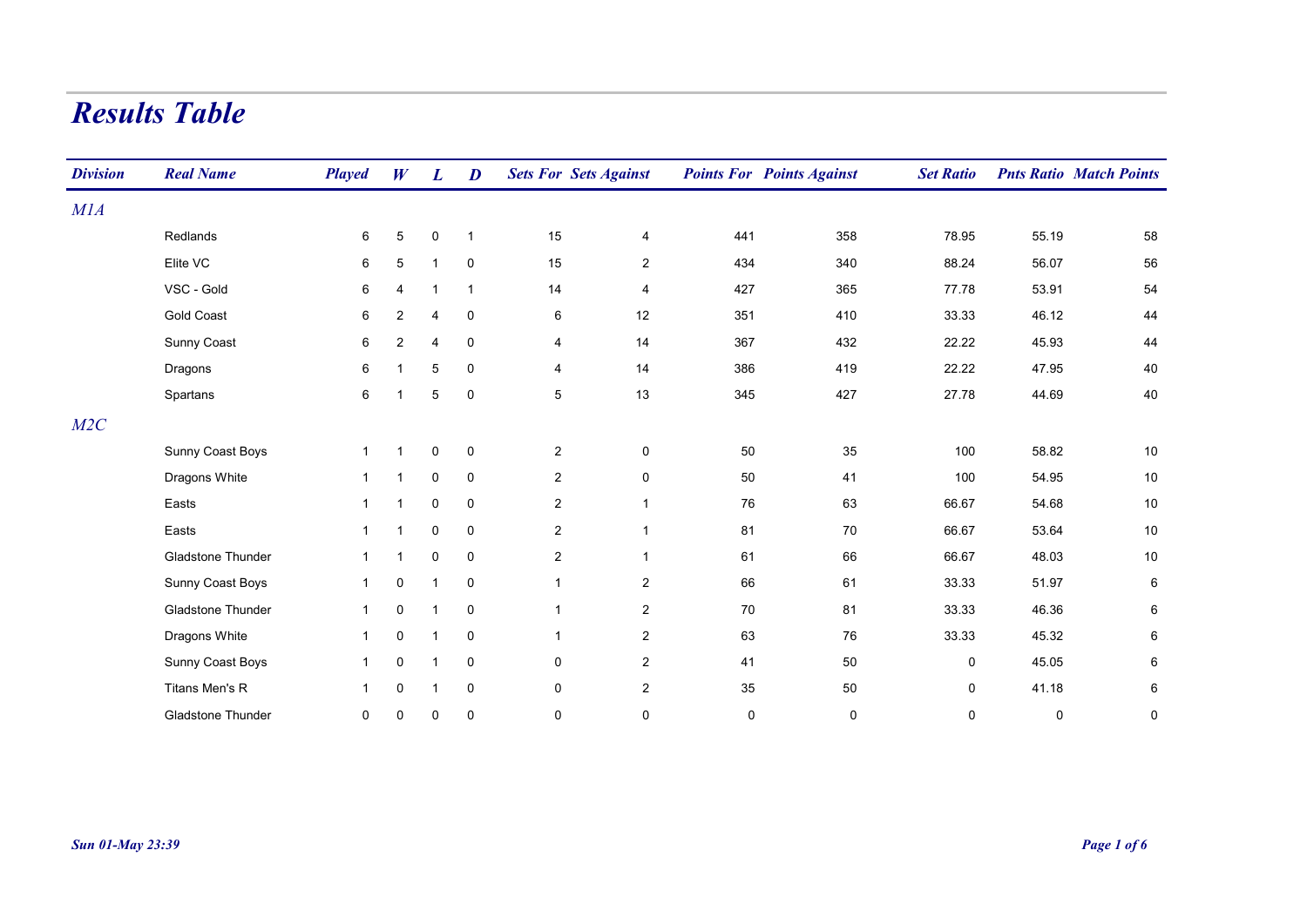## Results Table

| <b>Division</b> | <b>Real Name</b>         | <b>Played</b> | W              | $\boldsymbol{L}$ | D            |                | <b>Sets For Sets Against</b> |           | <b>Points For Points Against</b> | <b>Set Ratio</b> |             | <b>Pnts Ratio Match Points</b> |
|-----------------|--------------------------|---------------|----------------|------------------|--------------|----------------|------------------------------|-----------|----------------------------------|------------------|-------------|--------------------------------|
| M1A             |                          |               |                |                  |              |                |                              |           |                                  |                  |             |                                |
|                 | Redlands                 | 6             | 5              | 0                | $\mathbf{1}$ | 15             | 4                            | 441       | 358                              | 78.95            | 55.19       | 58                             |
|                 | Elite VC                 | 6             | 5              |                  | $\mathbf 0$  | 15             | $\overline{c}$               | 434       | 340                              | 88.24            | 56.07       | 56                             |
|                 | VSC - Gold               | 6             | 4              |                  | $\mathbf{1}$ | 14             | 4                            | 427       | 365                              | 77.78            | 53.91       | 54                             |
|                 | <b>Gold Coast</b>        | 6             | $\overline{2}$ | $\overline{4}$   | $\mathbf 0$  | 6              | 12                           | 351       | 410                              | 33.33            | 46.12       | 44                             |
|                 | Sunny Coast              | 6             | $\overline{c}$ | 4                | $\mathbf 0$  | 4              | 14                           | 367       | 432                              | 22.22            | 45.93       | 44                             |
|                 | Dragons                  | $\,6\,$       | 1              | 5                | $\mathbf 0$  | 4              | 14                           | 386       | 419                              | 22.22            | 47.95       | 40                             |
|                 | Spartans                 | $\,6\,$       | 1              | 5                | $\pmb{0}$    | 5              | $13$                         | 345       | 427                              | 27.78            | 44.69       | 40                             |
| M2C             |                          |               |                |                  |              |                |                              |           |                                  |                  |             |                                |
|                 | Sunny Coast Boys         | $\mathbf{1}$  | $\mathbf{1}$   | $\mathbf 0$      | $\pmb{0}$    | $\overline{2}$ | $\pmb{0}$                    | 50        | 35                               | 100              | 58.82       | 10                             |
|                 | Dragons White            | $\mathbf{1}$  | $\mathbf{1}$   | 0                | $\mathbf 0$  | $\overline{2}$ | $\mathbf 0$                  | 50        | 41                               | 100              | 54.95       | 10                             |
|                 | Easts                    | $\mathbf{1}$  | $\mathbf{1}$   | $\mathbf 0$      | $\pmb{0}$    | $\overline{a}$ | $\mathbf{1}$                 | 76        | 63                               | 66.67            | 54.68       | $10$                           |
|                 | Easts                    | $\mathbf{1}$  | $\mathbf 1$    | 0                | $\mathbf 0$  | $\overline{2}$ | $\mathbf{1}$                 | 81        | 70                               | 66.67            | 53.64       | 10                             |
|                 | <b>Gladstone Thunder</b> | $\mathbf{1}$  | 1              | $\mathbf 0$      | $\mathbf 0$  | $\overline{c}$ | $\mathbf{1}$                 | 61        | 66                               | 66.67            | 48.03       | 10                             |
|                 | Sunny Coast Boys         | $\mathbf{1}$  | 0              |                  | $\mathbf 0$  | $\mathbf{1}$   | $\overline{2}$               | 66        | 61                               | 33.33            | 51.97       | 6                              |
|                 | Gladstone Thunder        | $\mathbf{1}$  | $\pmb{0}$      |                  | 0            | $\mathbf{1}$   | $\overline{2}$               | 70        | 81                               | 33.33            | 46.36       | 6                              |
|                 | Dragons White            | $\mathbf{1}$  | 0              |                  | $\pmb{0}$    | $\mathbf{1}$   | $\overline{c}$               | 63        | 76                               | 33.33            | 45.32       | 6                              |
|                 | Sunny Coast Boys         | $\mathbf{1}$  | 0              |                  | $\mathbf 0$  | 0              | $\overline{2}$               | 41        | 50                               | $\mathbf 0$      | 45.05       | 6                              |
|                 | Titans Men's R           | $\mathbf{1}$  | 0              |                  | $\mathbf 0$  | $\mathbf 0$    | $\overline{2}$               | 35        | 50                               | $\mathbf 0$      | 41.18       | 6                              |
|                 | Gladstone Thunder        | $\mathbf 0$   | 0              | 0                | 0            | 0              | $\mathbf 0$                  | $\pmb{0}$ | $\mathbf 0$                      | $\mathbf 0$      | $\mathbf 0$ | 0                              |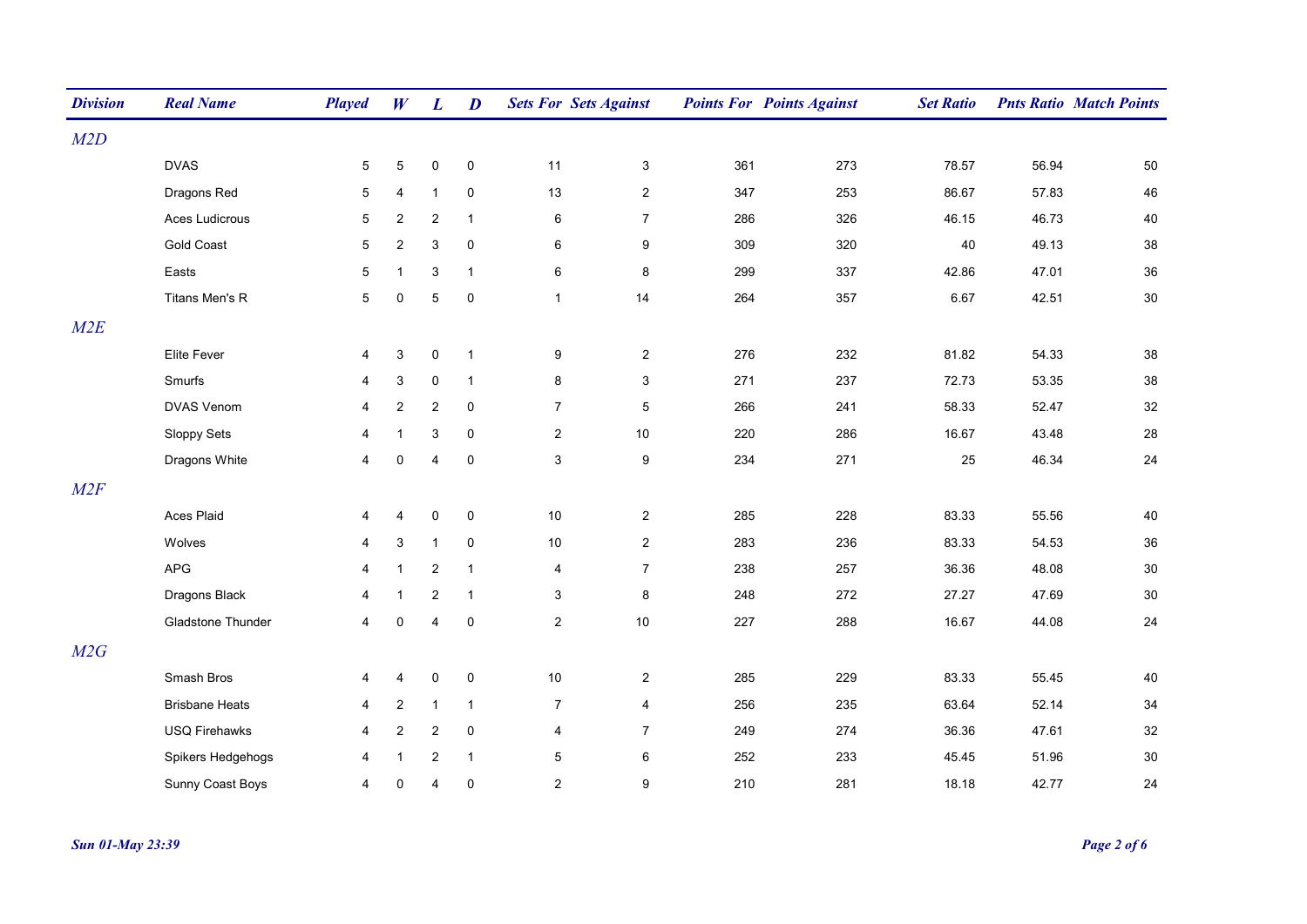| <b>Division</b> | <b>Real Name</b>      | <b>Played</b>   | W              | $\boldsymbol{L}$          | $\boldsymbol{D}$ | <b>Sets For Sets Against</b> |                |     | <b>Points For Points Against</b> | <b>Set Ratio</b> |       | <b>Pnts Ratio Match Points</b> |
|-----------------|-----------------------|-----------------|----------------|---------------------------|------------------|------------------------------|----------------|-----|----------------------------------|------------------|-------|--------------------------------|
| M2D             |                       |                 |                |                           |                  |                              |                |     |                                  |                  |       |                                |
|                 | <b>DVAS</b>           | 5               | 5              | $\mathbf 0$               | $\mathbf 0$      | 11                           | $\mathsf 3$    | 361 | 273                              | 78.57            | 56.94 | 50                             |
|                 | Dragons Red           | 5               | 4              | $\mathbf{1}$              | $\mathbf 0$      | 13                           | $\overline{2}$ | 347 | 253                              | 86.67            | 57.83 | 46                             |
|                 | Aces Ludicrous        | $5\phantom{.0}$ | $\overline{c}$ | $\overline{c}$            | $\overline{1}$   | 6                            | $\overline{7}$ | 286 | 326                              | 46.15            | 46.73 | 40                             |
|                 | <b>Gold Coast</b>     | $5\phantom{.0}$ | $\overline{2}$ | $\ensuremath{\mathsf{3}}$ | $\mathbf 0$      | 6                            | 9              | 309 | 320                              | 40               | 49.13 | 38                             |
|                 | Easts                 | $5\phantom{.0}$ | $\mathbf{1}$   | $\ensuremath{\mathsf{3}}$ | $\overline{1}$   | $\,6\,$                      | $\bf 8$        | 299 | 337                              | 42.86            | 47.01 | 36                             |
|                 | Titans Men's R        | $5\phantom{.0}$ | $\mathbf 0$    | $\overline{5}$            | $\mathbf 0$      | $\mathbf{1}$                 | 14             | 264 | 357                              | 6.67             | 42.51 | $30\,$                         |
| M2E             |                       |                 |                |                           |                  |                              |                |     |                                  |                  |       |                                |
|                 | Elite Fever           | 4               | $\mathbf{3}$   | $\pmb{0}$                 | $\overline{1}$   | 9                            | $\overline{2}$ | 276 | 232                              | 81.82            | 54.33 | 38                             |
|                 | Smurfs                | 4               | 3              | $\mathbf 0$               | $\overline{1}$   | 8                            | $\mathbf{3}$   | 271 | 237                              | 72.73            | 53.35 | 38                             |
|                 | <b>DVAS Venom</b>     | 4               | $\overline{c}$ | $\overline{2}$            | 0                | $\boldsymbol{7}$             | $\,$ 5 $\,$    | 266 | 241                              | 58.33            | 52.47 | 32                             |
|                 | Sloppy Sets           | 4               | $\mathbf{1}$   | $\ensuremath{\mathsf{3}}$ | $\pmb{0}$        | $\overline{2}$               | $10\,$         | 220 | 286                              | 16.67            | 43.48 | 28                             |
|                 | Dragons White         | 4               | $\mathbf 0$    | $\overline{4}$            | 0                | 3                            | 9              | 234 | 271                              | 25               | 46.34 | 24                             |
| M2F             |                       |                 |                |                           |                  |                              |                |     |                                  |                  |       |                                |
|                 | Aces Plaid            | 4               | $\overline{4}$ | $\pmb{0}$                 | $\pmb{0}$        | $10$                         | $\overline{2}$ | 285 | 228                              | 83.33            | 55.56 | 40                             |
|                 | Wolves                | 4               | $\sqrt{3}$     | $\mathbf{1}$              | $\pmb{0}$        | $10\,$                       | $\overline{2}$ | 283 | 236                              | 83.33            | 54.53 | 36                             |
|                 | <b>APG</b>            | 4               | $\mathbf{1}$   | $\overline{2}$            | $\overline{1}$   | 4                            | $\overline{7}$ | 238 | 257                              | 36.36            | 48.08 | $30\,$                         |
|                 | Dragons Black         | 4               | $\mathbf{1}$   | $\overline{2}$            | $\mathbf{1}$     | $\mathsf 3$                  | $\bf 8$        | 248 | 272                              | 27.27            | 47.69 | $30\,$                         |
|                 | Gladstone Thunder     | $\overline{4}$  | $\mathbf 0$    | $\overline{4}$            | $\mathbf 0$      | $\overline{2}$               | 10             | 227 | 288                              | 16.67            | 44.08 | 24                             |
| M2G             |                       |                 |                |                           |                  |                              |                |     |                                  |                  |       |                                |
|                 | Smash Bros            | 4               | $\overline{4}$ | $\mathbf 0$               | $\mathbf 0$      | $10\,$                       | $\overline{2}$ | 285 | 229                              | 83.33            | 55.45 | 40                             |
|                 | <b>Brisbane Heats</b> | 4               | $\overline{2}$ | $\mathbf{1}$              | $\mathbf{1}$     | $\overline{7}$               | 4              | 256 | 235                              | 63.64            | 52.14 | 34                             |
|                 | <b>USQ Firehawks</b>  | 4               | $\overline{2}$ | $\overline{2}$            | $\pmb{0}$        | $\overline{4}$               | $\overline{7}$ | 249 | 274                              | 36.36            | 47.61 | 32                             |
|                 | Spikers Hedgehogs     | 4               | $\mathbf{1}$   | $\overline{2}$            | $\overline{1}$   | $\,$ 5 $\,$                  | 6              | 252 | 233                              | 45.45            | 51.96 | 30                             |
|                 | Sunny Coast Boys      | 4               | $\mathbf 0$    | $\overline{4}$            | $\mathbf 0$      | $\overline{2}$               | 9              | 210 | 281                              | 18.18            | 42.77 | 24                             |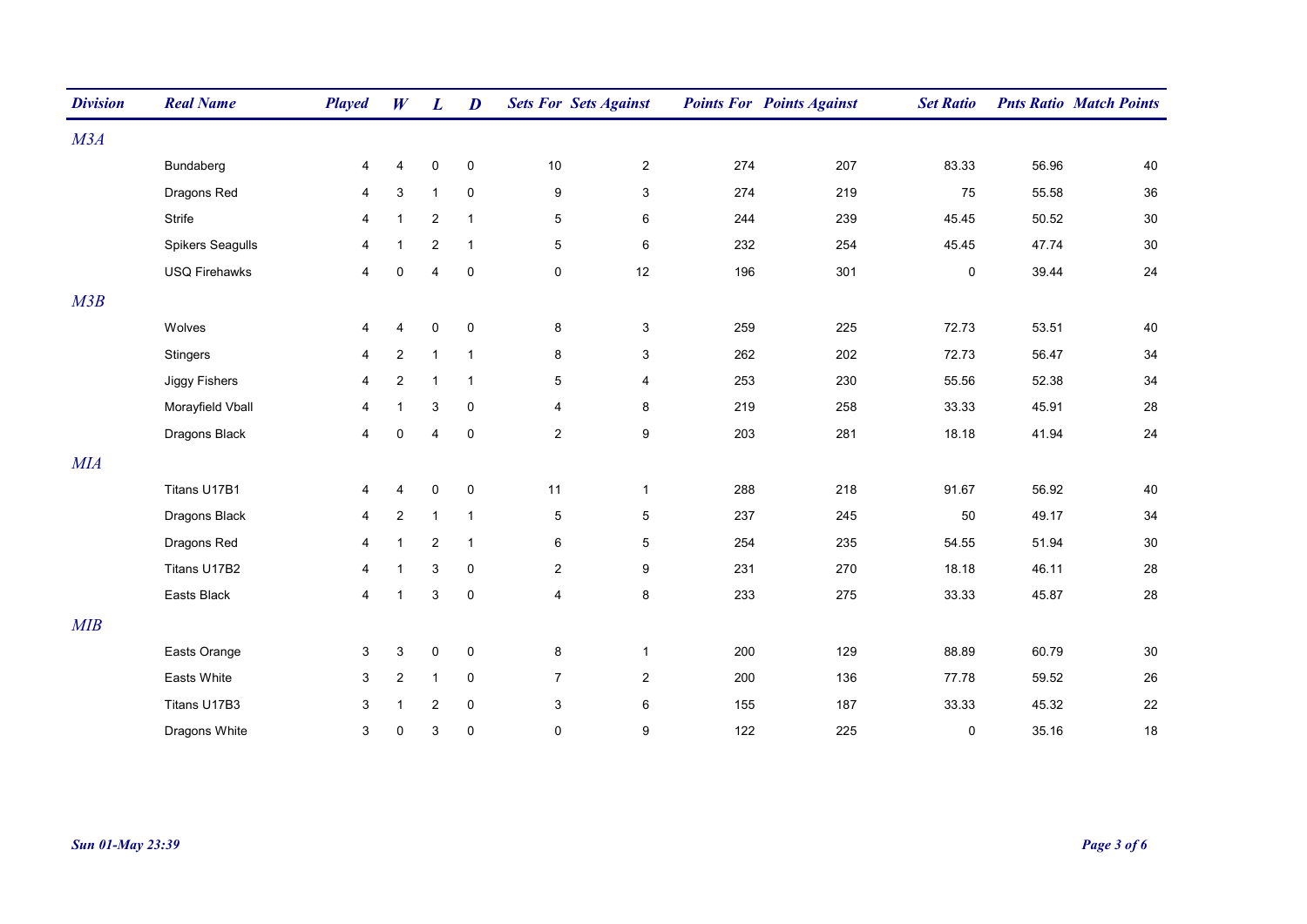| <b>Division</b> | <b>Real Name</b>     | <b>Played</b>  | W              | $\boldsymbol{L}$ | $\boldsymbol{D}$ | <b>Sets For Sets Against</b> |                  |     | <b>Points For Points Against</b> | <b>Set Ratio</b> |       | <b>Pnts Ratio Match Points</b> |
|-----------------|----------------------|----------------|----------------|------------------|------------------|------------------------------|------------------|-----|----------------------------------|------------------|-------|--------------------------------|
| M3A             |                      |                |                |                  |                  |                              |                  |     |                                  |                  |       |                                |
|                 | Bundaberg            | 4              | 4              | $\pmb{0}$        | $\mathbf 0$      | $10$                         | $\overline{2}$   | 274 | 207                              | 83.33            | 56.96 | 40                             |
|                 | Dragons Red          | 4              | $\mathbf{3}$   | $\mathbf{1}$     | $\mathbf 0$      | $\boldsymbol{9}$             | $\mathbf{3}$     | 274 | 219                              | 75               | 55.58 | 36                             |
|                 | Strife               | 4              | $\mathbf{1}$   | $\overline{2}$   | $\overline{1}$   | $\mathbf 5$                  | 6                | 244 | 239                              | 45.45            | 50.52 | $30\,$                         |
|                 | Spikers Seagulls     | 4              | $\overline{1}$ | $\overline{2}$   | $\overline{1}$   | $\,$ 5 $\,$                  | $\,6\,$          | 232 | 254                              | 45.45            | 47.74 | $30\,$                         |
|                 | <b>USQ Firehawks</b> | 4              | $\mathbf 0$    | $\overline{4}$   | $\mathbf 0$      | $\mathsf 0$                  | 12               | 196 | 301                              | $\mathbf 0$      | 39.44 | 24                             |
| M3B             |                      |                |                |                  |                  |                              |                  |     |                                  |                  |       |                                |
|                 | Wolves               | 4              | $\overline{4}$ | $\mathbf 0$      | 0                | $\bf 8$                      | $\mathsf 3$      | 259 | 225                              | 72.73            | 53.51 | 40                             |
|                 | <b>Stingers</b>      | 4              | $\overline{2}$ | $\mathbf{1}$     | $\overline{1}$   | 8                            | 3                | 262 | 202                              | 72.73            | 56.47 | 34                             |
|                 | Jiggy Fishers        | $\overline{4}$ | $\overline{2}$ | $\mathbf{1}$     | $\overline{1}$   | $\mathbf 5$                  | 4                | 253 | 230                              | 55.56            | 52.38 | $34\,$                         |
|                 | Morayfield Vball     | 4              | $\mathbf{1}$   | $\sqrt{3}$       | $\pmb{0}$        | $\overline{4}$               | 8                | 219 | 258                              | 33.33            | 45.91 | 28                             |
|                 | Dragons Black        | 4              | $\mathbf 0$    | $\overline{4}$   | 0                | $\sqrt{2}$                   | $\boldsymbol{9}$ | 203 | 281                              | 18.18            | 41.94 | 24                             |
| MIA             |                      |                |                |                  |                  |                              |                  |     |                                  |                  |       |                                |
|                 | Titans U17B1         | 4              | 4              | $\mathbf 0$      | $\mathbf 0$      | 11                           | $\mathbf{1}$     | 288 | 218                              | 91.67            | 56.92 | 40                             |
|                 | Dragons Black        | 4              | 2              | $\mathbf{1}$     | $\overline{1}$   | 5                            | $\overline{5}$   | 237 | 245                              | 50               | 49.17 | 34                             |
|                 | Dragons Red          | 4              | $\mathbf{1}$   | $\overline{2}$   | $\overline{1}$   | 6                            | 5                | 254 | 235                              | 54.55            | 51.94 | 30                             |
|                 | Titans U17B2         | 4              | $\overline{1}$ | 3                | $\mathbf 0$      | $\overline{2}$               | 9                | 231 | 270                              | 18.18            | 46.11 | 28                             |
|                 | Easts Black          | $\overline{4}$ | $\mathbf{1}$   | 3                | $\mathbf 0$      | $\overline{4}$               | 8                | 233 | 275                              | 33.33            | 45.87 | 28                             |
| MIB             |                      |                |                |                  |                  |                              |                  |     |                                  |                  |       |                                |
|                 | Easts Orange         | 3              | 3              | $\pmb{0}$        | $\mathbf 0$      | $\bf 8$                      | $\mathbf{1}$     | 200 | 129                              | 88.89            | 60.79 | $30\,$                         |
|                 | Easts White          | 3              | $\sqrt{2}$     | $\mathbf{1}$     | $\mathbf 0$      | $\overline{7}$               | $\overline{2}$   | 200 | 136                              | 77.78            | 59.52 | 26                             |
|                 | Titans U17B3         | 3              | $\mathbf{1}$   | $\sqrt{2}$       | $\mathbf 0$      | $\mathbf{3}$                 | $\,6\,$          | 155 | 187                              | 33.33            | 45.32 | 22                             |
|                 | Dragons White        | 3              | $\mathbf 0$    | 3                | $\pmb{0}$        | $\mathbf 0$                  | $\boldsymbol{9}$ | 122 | 225                              | $\mathbf 0$      | 35.16 | 18                             |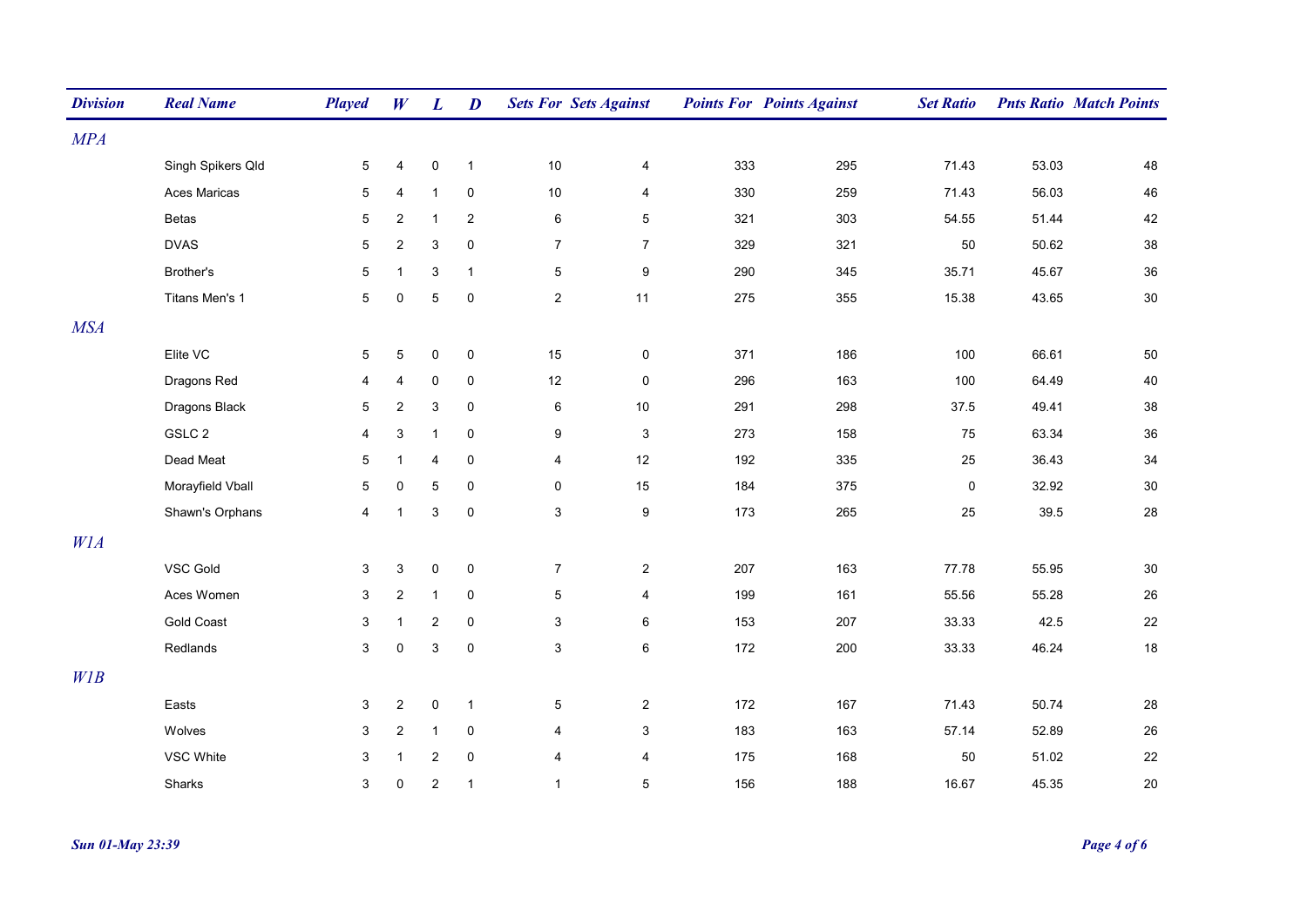| <b>Division</b> | <b>Real Name</b>  | <b>Played</b>   | W              | $\boldsymbol{L}$          | D            |                | <b>Sets For Sets Against</b> |     | <b>Points For Points Against</b> | <b>Set Ratio</b> |       | <b>Pnts Ratio Match Points</b> |
|-----------------|-------------------|-----------------|----------------|---------------------------|--------------|----------------|------------------------------|-----|----------------------------------|------------------|-------|--------------------------------|
| MPA             |                   |                 |                |                           |              |                |                              |     |                                  |                  |       |                                |
|                 | Singh Spikers Qld | $5\phantom{.0}$ | 4              | $\pmb{0}$                 | $\mathbf{1}$ | 10             | 4                            | 333 | 295                              | 71.43            | 53.03 | 48                             |
|                 | Aces Maricas      | 5               | 4              | $\mathbf{1}$              | 0            | $10\,$         | 4                            | 330 | 259                              | 71.43            | 56.03 | 46                             |
|                 | <b>Betas</b>      | $\mathbf 5$     | $\overline{2}$ | $\mathbf{1}$              | 2            | $\,6\,$        | 5                            | 321 | 303                              | 54.55            | 51.44 | 42                             |
|                 | <b>DVAS</b>       | $5\phantom{.0}$ | $\overline{2}$ | 3                         | $\pmb{0}$    | $\overline{7}$ | $\overline{7}$               | 329 | 321                              | 50               | 50.62 | 38                             |
|                 | Brother's         | $\,$ 5 $\,$     | $\mathbf{1}$   | $\ensuremath{\mathsf{3}}$ | $\mathbf{1}$ | $\,$ 5 $\,$    | $\boldsymbol{9}$             | 290 | 345                              | 35.71            | 45.67 | 36                             |
|                 | Titans Men's 1    | $5\phantom{.0}$ | $\pmb{0}$      | $\mathbf 5$               | $\pmb{0}$    | $\mathbf 2$    | 11                           | 275 | 355                              | 15.38            | 43.65 | 30                             |
| <b>MSA</b>      |                   |                 |                |                           |              |                |                              |     |                                  |                  |       |                                |
|                 | Elite VC          | $5\phantom{.0}$ | $\sqrt{5}$     | $\pmb{0}$                 | $\mathsf 0$  | 15             | $\mathsf{O}\xspace$          | 371 | 186                              | 100              | 66.61 | 50                             |
|                 | Dragons Red       | 4               | 4              | 0                         | 0            | 12             | 0                            | 296 | 163                              | 100              | 64.49 | 40                             |
|                 | Dragons Black     | 5               | $\overline{2}$ | 3                         | $\pmb{0}$    | $\,6\,$        | 10                           | 291 | 298                              | 37.5             | 49.41 | 38                             |
|                 | GSLC 2            | 4               | 3              | $\mathbf{1}$              | $\pmb{0}$    | 9              | 3                            | 273 | 158                              | 75               | 63.34 | 36                             |
|                 | Dead Meat         | $5\,$           | $\mathbf{1}$   | 4                         | $\pmb{0}$    | 4              | 12                           | 192 | 335                              | 25               | 36.43 | $34\,$                         |
|                 | Morayfield Vball  | $5\phantom{.0}$ | $\pmb{0}$      | 5                         | $\pmb{0}$    | $\mathbf 0$    | 15                           | 184 | 375                              | $\mathbf 0$      | 32.92 | $30\,$                         |
|                 | Shawn's Orphans   | 4               | $\mathbf{1}$   | $\ensuremath{\mathsf{3}}$ | $\pmb{0}$    | $\mathfrak{S}$ | $\boldsymbol{9}$             | 173 | 265                              | 25               | 39.5  | 28                             |
| W1A             |                   |                 |                |                           |              |                |                              |     |                                  |                  |       |                                |
|                 | VSC Gold          | 3               | 3              | 0                         | $\pmb{0}$    | $\overline{7}$ | $\overline{2}$               | 207 | 163                              | 77.78            | 55.95 | 30                             |
|                 | Aces Women        | 3               | $\overline{c}$ | $\mathbf{1}$              | $\pmb{0}$    | $\overline{5}$ | 4                            | 199 | 161                              | 55.56            | 55.28 | 26                             |
|                 | <b>Gold Coast</b> | 3               | $\mathbf{1}$   | $\overline{\mathbf{c}}$   | $\pmb{0}$    | 3              | 6                            | 153 | 207                              | 33.33            | 42.5  | 22                             |
|                 | Redlands          | $\mathfrak{S}$  | $\pmb{0}$      | $\ensuremath{\mathsf{3}}$ | $\pmb{0}$    | $\mathfrak{S}$ | 6                            | 172 | 200                              | 33.33            | 46.24 | 18                             |
| W1B             |                   |                 |                |                           |              |                |                              |     |                                  |                  |       |                                |
|                 | Easts             | 3               | $\overline{c}$ | $\pmb{0}$                 | $\mathbf{1}$ | $\,$ 5 $\,$    | $\overline{c}$               | 172 | 167                              | 71.43            | 50.74 | 28                             |
|                 | Wolves            | 3               | $\overline{2}$ | $\mathbf{1}$              | $\pmb{0}$    | 4              | $\mathbf{3}$                 | 183 | 163                              | 57.14            | 52.89 | 26                             |
|                 | VSC White         | 3               | $\mathbf{1}$   | $\overline{\mathbf{c}}$   | 0            | 4              | 4                            | 175 | 168                              | 50               | 51.02 | 22                             |
|                 | Sharks            | 3               | $\mathbf 0$    | 2                         | $\mathbf{1}$ | $\mathbf{1}$   | 5                            | 156 | 188                              | 16.67            | 45.35 | 20                             |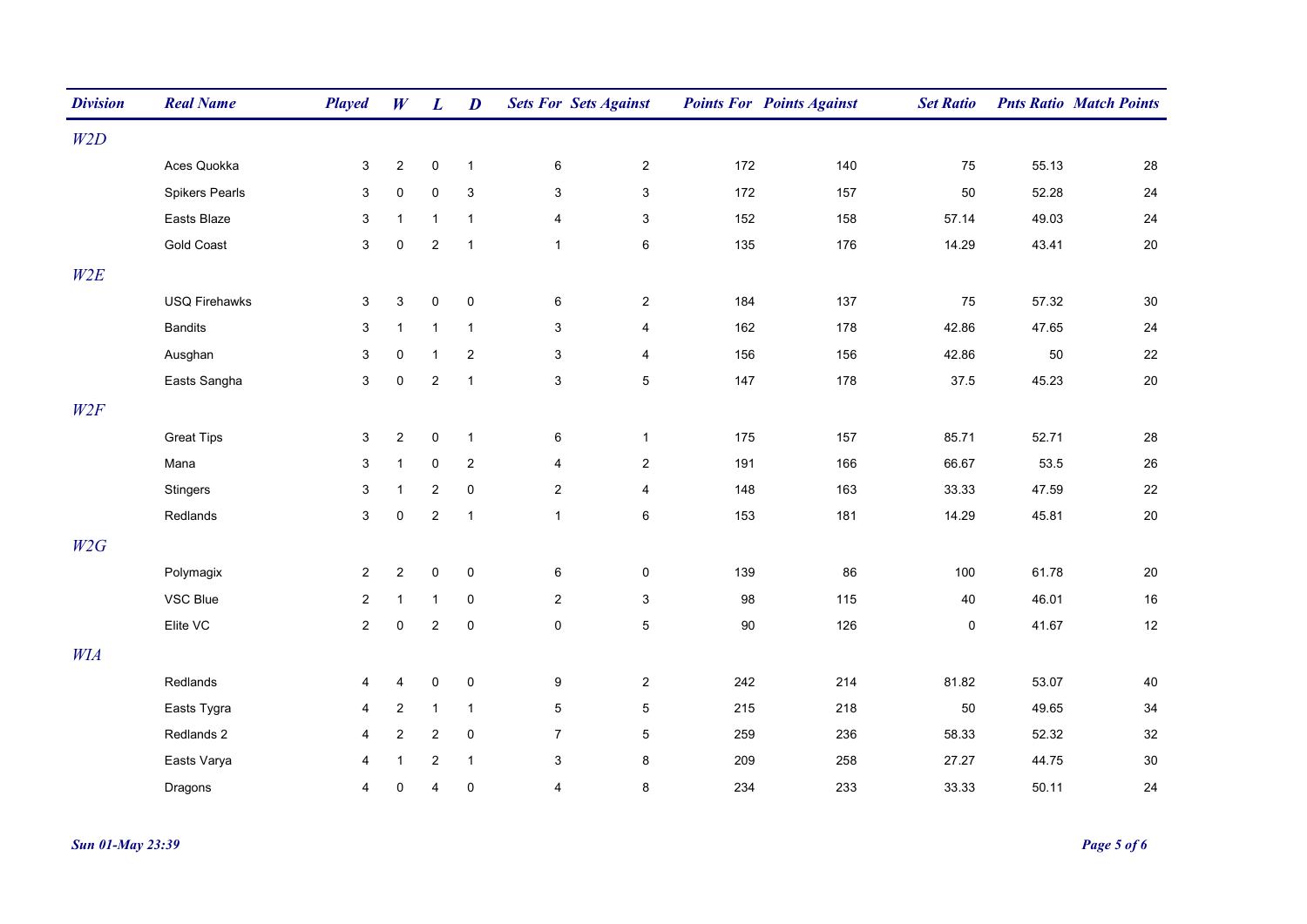| <b>Division</b> | <b>Real Name</b>      | <b>Played</b>  | W              | $\boldsymbol{L}$        | $\boldsymbol{D}$          | <b>Sets For Sets Against</b> |                           |        | <b>Points For Points Against</b> | <b>Set Ratio</b> |       | <b>Pnts Ratio Match Points</b> |
|-----------------|-----------------------|----------------|----------------|-------------------------|---------------------------|------------------------------|---------------------------|--------|----------------------------------|------------------|-------|--------------------------------|
| W2D             |                       |                |                |                         |                           |                              |                           |        |                                  |                  |       |                                |
|                 | Aces Quokka           | 3              | $\sqrt{2}$     | $\pmb{0}$               | $\mathbf{1}$              | 6                            | $\overline{2}$            | 172    | 140                              | 75               | 55.13 | 28                             |
|                 | <b>Spikers Pearls</b> | 3              | $\pmb{0}$      | $\mathsf 0$             | $\ensuremath{\mathsf{3}}$ | $\mathbf{3}$                 | $\ensuremath{\mathsf{3}}$ | 172    | 157                              | 50               | 52.28 | 24                             |
|                 | Easts Blaze           | 3              | $\mathbf{1}$   | $\mathbf{1}$            | $\mathbf{1}$              | $\overline{4}$               | $\mathsf 3$               | 152    | 158                              | 57.14            | 49.03 | 24                             |
|                 | <b>Gold Coast</b>     | $\mathbf{3}$   | $\mathbf 0$    | $\sqrt{2}$              | $\overline{1}$            | $\mathbf{1}$                 | 6                         | 135    | 176                              | 14.29            | 43.41 | 20                             |
| W2E             |                       |                |                |                         |                           |                              |                           |        |                                  |                  |       |                                |
|                 | <b>USQ Firehawks</b>  | $\mathbf 3$    | $\sqrt{3}$     | $\pmb{0}$               | $\pmb{0}$                 | $\,6$                        | $\overline{c}$            | 184    | 137                              | 75               | 57.32 | 30                             |
|                 | <b>Bandits</b>        | 3              | $\mathbf{1}$   | $\mathbf{1}$            | $\mathbf{1}$              | $\mathbf{3}$                 | $\overline{\mathbf{4}}$   | 162    | 178                              | 42.86            | 47.65 | 24                             |
|                 | Ausghan               | 3              | $\mathbf 0$    | $\mathbf{1}$            | $\overline{c}$            | 3                            | 4                         | 156    | 156                              | 42.86            | 50    | 22                             |
|                 | Easts Sangha          | 3              | $\mathbf 0$    | $\overline{\mathbf{c}}$ | $\mathbf{1}$              | 3                            | $\,$ 5 $\,$               | 147    | 178                              | 37.5             | 45.23 | $20\,$                         |
| W2F             |                       |                |                |                         |                           |                              |                           |        |                                  |                  |       |                                |
|                 | <b>Great Tips</b>     | $\mathbf{3}$   | $\overline{2}$ | $\mathsf 0$             | $\mathbf{1}$              | $\,6$                        | $\mathbf{1}$              | 175    | 157                              | 85.71            | 52.71 | 28                             |
|                 | Mana                  | 3              | $\mathbf{1}$   | 0                       | $\overline{c}$            | $\overline{4}$               | $\overline{2}$            | 191    | 166                              | 66.67            | 53.5  | 26                             |
|                 | Stingers              | 3              | $\mathbf{1}$   | $\overline{\mathbf{c}}$ | $\mathbf 0$               | $\overline{2}$               | $\overline{\mathbf{4}}$   | 148    | 163                              | 33.33            | 47.59 | 22                             |
|                 | Redlands              | $\mathbf{3}$   | $\pmb{0}$      | $\sqrt{2}$              | $\mathbf{1}$              | $\mathbf{1}$                 | 6                         | 153    | 181                              | 14.29            | 45.81 | $20\,$                         |
| W2G             |                       |                |                |                         |                           |                              |                           |        |                                  |                  |       |                                |
|                 | Polymagix             | $\overline{2}$ | $\sqrt{2}$     | $\pmb{0}$               | $\mathbf 0$               | 6                            | 0                         | 139    | 86                               | 100              | 61.78 | $20\,$                         |
|                 | VSC Blue              | $\overline{c}$ | $\mathbf{1}$   | $\mathbf{1}$            | $\mathbf 0$               | $\overline{2}$               | $\mathsf 3$               | 98     | 115                              | 40               | 46.01 | $16\,$                         |
|                 | Elite VC              | $\overline{a}$ | $\mathbf 0$    | $\overline{\mathbf{c}}$ | $\mathbf 0$               | $\mathsf 0$                  | $\,$ 5 $\,$               | $90\,$ | 126                              | $\mathsf 0$      | 41.67 | 12                             |
| WIA             |                       |                |                |                         |                           |                              |                           |        |                                  |                  |       |                                |
|                 | Redlands              | 4              | $\overline{4}$ | $\pmb{0}$               | $\pmb{0}$                 | $\boldsymbol{9}$             | $\overline{c}$            | 242    | 214                              | 81.82            | 53.07 | 40                             |
|                 | Easts Tygra           | 4              | $\overline{2}$ | $\mathbf{1}$            | $\mathbf{1}$              | $5\phantom{.0}$              | $\,$ 5 $\,$               | 215    | 218                              | 50               | 49.65 | $34\,$                         |
|                 | Redlands 2            | 4              | $\mathbf{2}$   | $\sqrt{2}$              | $\mathbf 0$               | $\overline{7}$               | 5                         | 259    | 236                              | 58.33            | 52.32 | 32                             |
|                 | Easts Varya           | 4              | $\mathbf{1}$   | $\sqrt{2}$              | $\mathbf{1}$              | $\mathsf 3$                  | 8                         | 209    | 258                              | 27.27            | 44.75 | $30\,$                         |
|                 | Dragons               | 4              | $\mathbf 0$    | 4                       | $\mathbf 0$               | $\overline{4}$               | 8                         | 234    | 233                              | 33.33            | 50.11 | 24                             |